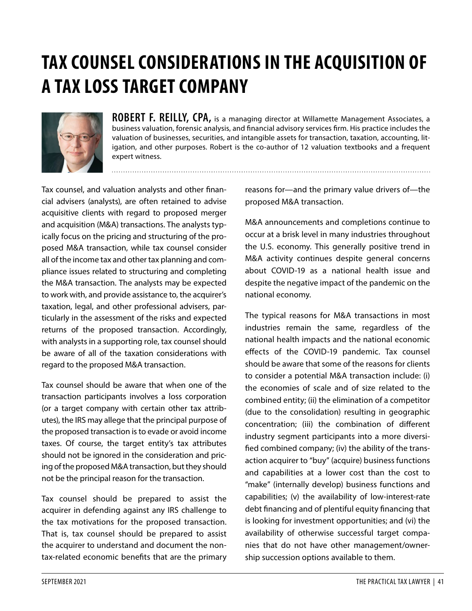# **TAX COUNSEL CONSIDERATIONS IN THE ACQUISITION OF A TAX LOSS TARGET COMPANY**



**ROBERT F. REILLY, CPA,** is a managing director at Willamette Management Associates, a business valuation, forensic analysis, and financial advisory services firm. His practice includes the valuation of businesses, securities, and intangible assets for transaction, taxation, accounting, litigation, and other purposes. Robert is the co-author of 12 valuation textbooks and a frequent expert witness.

Tax counsel, and valuation analysts and other financial advisers (analysts), are often retained to advise acquisitive clients with regard to proposed merger and acquisition (M&A) transactions. The analysts typically focus on the pricing and structuring of the proposed M&A transaction, while tax counsel consider all of the income tax and other tax planning and compliance issues related to structuring and completing the M&A transaction. The analysts may be expected to work with, and provide assistance to, the acquirer's taxation, legal, and other professional advisers, particularly in the assessment of the risks and expected returns of the proposed transaction. Accordingly, with analysts in a supporting role, tax counsel should be aware of all of the taxation considerations with regard to the proposed M&A transaction.

Tax counsel should be aware that when one of the transaction participants involves a loss corporation (or a target company with certain other tax attributes), the IRS may allege that the principal purpose of the proposed transaction is to evade or avoid income taxes. Of course, the target entity's tax attributes should not be ignored in the consideration and pricing of the proposed M&A transaction, but they should not be the principal reason for the transaction.

Tax counsel should be prepared to assist the acquirer in defending against any IRS challenge to the tax motivations for the proposed transaction. That is, tax counsel should be prepared to assist the acquirer to understand and document the nontax-related economic benefits that are the primary reasons for—and the primary value drivers of—the proposed M&A transaction.

M&A announcements and completions continue to occur at a brisk level in many industries throughout the U.S. economy. This generally positive trend in M&A activity continues despite general concerns about COVID-19 as a national health issue and despite the negative impact of the pandemic on the national economy.

The typical reasons for M&A transactions in most industries remain the same, regardless of the national health impacts and the national economic effects of the COVID-19 pandemic. Tax counsel should be aware that some of the reasons for clients to consider a potential M&A transaction include: (i) the economies of scale and of size related to the combined entity; (ii) the elimination of a competitor (due to the consolidation) resulting in geographic concentration; (iii) the combination of different industry segment participants into a more diversified combined company; (iv) the ability of the transaction acquirer to "buy" (acquire) business functions and capabilities at a lower cost than the cost to "make" (internally develop) business functions and capabilities; (v) the availability of low-interest-rate debt financing and of plentiful equity financing that is looking for investment opportunities; and (vi) the availability of otherwise successful target companies that do not have other management/ownership succession options available to them.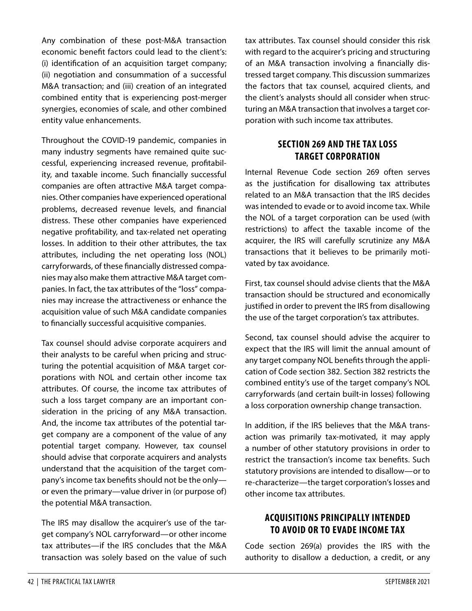Any combination of these post-M&A transaction economic benefit factors could lead to the client's: (i) identification of an acquisition target company; (ii) negotiation and consummation of a successful M&A transaction; and (iii) creation of an integrated combined entity that is experiencing post-merger synergies, economies of scale, and other combined entity value enhancements.

Throughout the COVID-19 pandemic, companies in many industry segments have remained quite successful, experiencing increased revenue, profitability, and taxable income. Such financially successful companies are often attractive M&A target companies. Other companies have experienced operational problems, decreased revenue levels, and financial distress. These other companies have experienced negative profitability, and tax-related net operating losses. In addition to their other attributes, the tax attributes, including the net operating loss (NOL) carryforwards, of these financially distressed companies may also make them attractive M&A target companies. In fact, the tax attributes of the "loss" companies may increase the attractiveness or enhance the acquisition value of such M&A candidate companies to financially successful acquisitive companies.

Tax counsel should advise corporate acquirers and their analysts to be careful when pricing and structuring the potential acquisition of M&A target corporations with NOL and certain other income tax attributes. Of course, the income tax attributes of such a loss target company are an important consideration in the pricing of any M&A transaction. And, the income tax attributes of the potential target company are a component of the value of any potential target company. However, tax counsel should advise that corporate acquirers and analysts understand that the acquisition of the target company's income tax benefits should not be the only or even the primary—value driver in (or purpose of) the potential M&A transaction.

The IRS may disallow the acquirer's use of the target company's NOL carryforward—or other income tax attributes—if the IRS concludes that the M&A transaction was solely based on the value of such

tax attributes. Tax counsel should consider this risk with regard to the acquirer's pricing and structuring of an M&A transaction involving a financially distressed target company. This discussion summarizes the factors that tax counsel, acquired clients, and the client's analysts should all consider when structuring an M&A transaction that involves a target corporation with such income tax attributes.

### **SECTION 269 AND THE TAX LOSS TARGET CORPORATION**

Internal Revenue Code section 269 often serves as the justification for disallowing tax attributes related to an M&A transaction that the IRS decides was intended to evade or to avoid income tax. While the NOL of a target corporation can be used (with restrictions) to affect the taxable income of the acquirer, the IRS will carefully scrutinize any M&A transactions that it believes to be primarily motivated by tax avoidance.

First, tax counsel should advise clients that the M&A transaction should be structured and economically justified in order to prevent the IRS from disallowing the use of the target corporation's tax attributes.

Second, tax counsel should advise the acquirer to expect that the IRS will limit the annual amount of any target company NOL benefits through the application of Code section 382. Section 382 restricts the combined entity's use of the target company's NOL carryforwards (and certain built-in losses) following a loss corporation ownership change transaction.

In addition, if the IRS believes that the M&A transaction was primarily tax-motivated, it may apply a number of other statutory provisions in order to restrict the transaction's income tax benefits. Such statutory provisions are intended to disallow—or to re-characterize—the target corporation's losses and other income tax attributes.

#### **ACQUISITIONS PRINCIPALLY INTENDED TO AVOID OR TO EVADE INCOME TAX**

Code section 269(a) provides the IRS with the authority to disallow a deduction, a credit, or any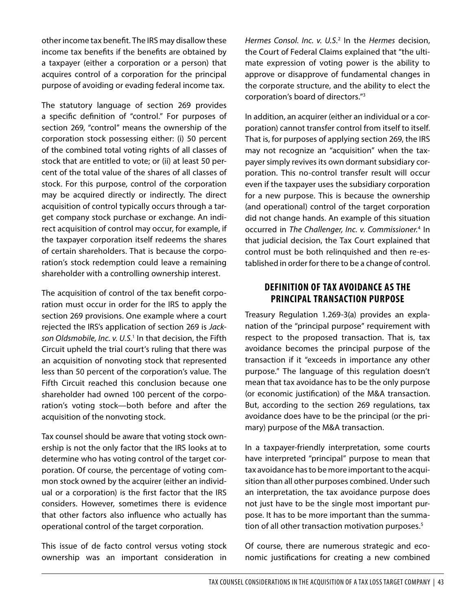other income tax benefit. The IRS may disallow these income tax benefits if the benefits are obtained by a taxpayer (either a corporation or a person) that acquires control of a corporation for the principal purpose of avoiding or evading federal income tax.

The statutory language of section 269 provides a specific definition of "control." For purposes of section 269, "control" means the ownership of the corporation stock possessing either: (i) 50 percent of the combined total voting rights of all classes of stock that are entitled to vote; or (ii) at least 50 percent of the total value of the shares of all classes of stock. For this purpose, control of the corporation may be acquired directly or indirectly. The direct acquisition of control typically occurs through a target company stock purchase or exchange. An indirect acquisition of control may occur, for example, if the taxpayer corporation itself redeems the shares of certain shareholders. That is because the corporation's stock redemption could leave a remaining shareholder with a controlling ownership interest.

The acquisition of control of the tax benefit corporation must occur in order for the IRS to apply the section 269 provisions. One example where a court rejected the IRS's application of section 269 is *Jack-*son Oldsmobile, Inc. v. U.S.<sup>[1](#page-7-0)</sup> In that decision, the Fifth Circuit upheld the trial court's ruling that there was an acquisition of nonvoting stock that represented less than 50 percent of the corporation's value. The Fifth Circuit reached this conclusion because one shareholder had owned 100 percent of the corporation's voting stock—both before and after the acquisition of the nonvoting stock.

Tax counsel should be aware that voting stock ownership is not the only factor that the IRS looks at to determine who has voting control of the target corporation. Of course, the percentage of voting common stock owned by the acquirer (either an individual or a corporation) is the first factor that the IRS considers. However, sometimes there is evidence that other factors also influence who actually has operational control of the target corporation.

This issue of de facto control versus voting stock ownership was an important consideration in *Hermes Consol. Inc. v. U.S.*[2](#page-7-1) In the *Hermes* decision, the Court of Federal Claims explained that "the ultimate expression of voting power is the ability to approve or disapprove of fundamental changes in the corporate structure, and the ability to elect the corporation's board of directors.["3](#page-7-2)

In addition, an acquirer (either an individual or a corporation) cannot transfer control from itself to itself. That is, for purposes of applying section 269, the IRS may not recognize an "acquisition" when the taxpayer simply revives its own dormant subsidiary corporation. This no-control transfer result will occur even if the taxpayer uses the subsidiary corporation for a new purpose. This is because the ownership (and operational) control of the target corporation did not change hands. An example of this situation occurred in *The Challenger, Inc. v. Commissioner.*[4](#page-7-3) In that judicial decision, the Tax Court explained that control must be both relinquished and then re-established in order for there to be a change of control.

#### **DEFINITION OF TAX AVOIDANCE AS THE PRINCIPAL TRANSACTION PURPOSE**

Treasury Regulation 1.269-3(a) provides an explanation of the "principal purpose" requirement with respect to the proposed transaction. That is, tax avoidance becomes the principal purpose of the transaction if it "exceeds in importance any other purpose." The language of this regulation doesn't mean that tax avoidance has to be the only purpose (or economic justification) of the M&A transaction. But, according to the section 269 regulations, tax avoidance does have to be the principal (or the primary) purpose of the M&A transaction.

In a taxpayer-friendly interpretation, some courts have interpreted "principal" purpose to mean that tax avoidance has to be more important to the acquisition than all other purposes combined. Under such an interpretation, the tax avoidance purpose does not just have to be the single most important purpose. It has to be more important than the summa-tion of all other transaction motivation purposes.<sup>[5](#page-7-4)</sup>

Of course, there are numerous strategic and economic justifications for creating a new combined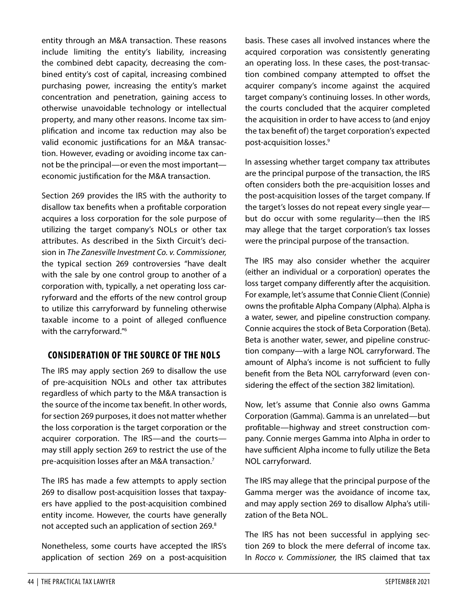entity through an M&A transaction. These reasons include limiting the entity's liability, increasing the combined debt capacity, decreasing the combined entity's cost of capital, increasing combined purchasing power, increasing the entity's market concentration and penetration, gaining access to otherwise unavoidable technology or intellectual property, and many other reasons. Income tax simplification and income tax reduction may also be valid economic justifications for an M&A transaction. However, evading or avoiding income tax cannot be the principal—or even the most important economic justification for the M&A transaction.

Section 269 provides the IRS with the authority to disallow tax benefits when a profitable corporation acquires a loss corporation for the sole purpose of utilizing the target company's NOLs or other tax attributes. As described in the Sixth Circuit's decision in *The Zanesville Investment Co. v. Commissioner,* the typical section 269 controversies "have dealt with the sale by one control group to another of a corporation with, typically, a net operating loss carryforward and the efforts of the new control group to utilize this carryforward by funneling otherwise taxable income to a point of alleged confluence with the carryforward.["6](#page-7-5)

#### **CONSIDERATION OF THE SOURCE OF THE NOLS**

The IRS may apply section 269 to disallow the use of pre-acquisition NOLs and other tax attributes regardless of which party to the M&A transaction is the source of the income tax benefit. In other words, for section 269 purposes, it does not matter whether the loss corporation is the target corporation or the acquirer corporation. The IRS—and the courts may still apply section 269 to restrict the use of the pre-acquisition losses after an M&A transaction[.7](#page-7-6)

The IRS has made a few attempts to apply section 269 to disallow post-acquisition losses that taxpayers have applied to the post-acquisition combined entity income. However, the courts have generally not accepted such an application of section 269.[8](#page-7-7)

Nonetheless, some courts have accepted the IRS's application of section 269 on a post-acquisition

basis. These cases all involved instances where the acquired corporation was consistently generating an operating loss. In these cases, the post-transaction combined company attempted to offset the acquirer company's income against the acquired target company's continuing losses. In other words, the courts concluded that the acquirer completed the acquisition in order to have access to (and enjoy the tax benefit of) the target corporation's expected post-acquisition losses[.9](#page-7-8)

In assessing whether target company tax attributes are the principal purpose of the transaction, the IRS often considers both the pre-acquisition losses and the post-acquisition losses of the target company. If the target's losses do not repeat every single year but do occur with some regularity—then the IRS may allege that the target corporation's tax losses were the principal purpose of the transaction.

The IRS may also consider whether the acquirer (either an individual or a corporation) operates the loss target company differently after the acquisition. For example, let's assume that Connie Client (Connie) owns the profitable Alpha Company (Alpha). Alpha is a water, sewer, and pipeline construction company. Connie acquires the stock of Beta Corporation (Beta). Beta is another water, sewer, and pipeline construction company—with a large NOL carryforward. The amount of Alpha's income is not sufficient to fully benefit from the Beta NOL carryforward (even considering the effect of the section 382 limitation).

Now, let's assume that Connie also owns Gamma Corporation (Gamma). Gamma is an unrelated—but profitable—highway and street construction company. Connie merges Gamma into Alpha in order to have sufficient Alpha income to fully utilize the Beta NOL carryforward.

The IRS may allege that the principal purpose of the Gamma merger was the avoidance of income tax, and may apply section 269 to disallow Alpha's utilization of the Beta NOL.

The IRS has not been successful in applying section 269 to block the mere deferral of income tax. In *Rocco v. Commissioner,* the IRS claimed that tax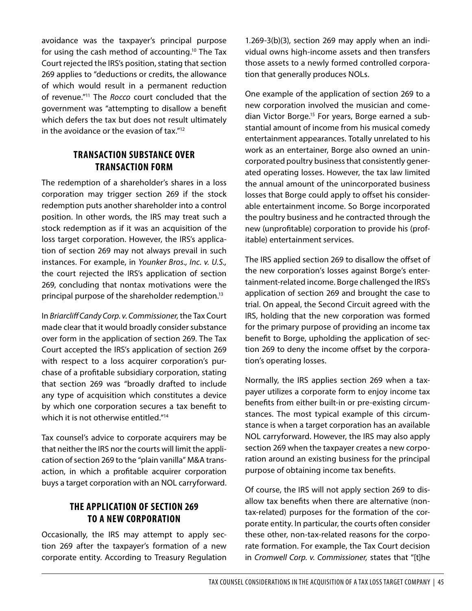avoidance was the taxpayer's principal purpose for using the cash method of accounting[.10](#page-7-9) The Tax Court rejected the IRS's position, stating that section 269 applies to "deductions or credits, the allowance of which would result in a permanent reduction of revenue.["11](#page-7-10) The *Rocco* court concluded that the government was "attempting to disallow a benefit which defers the tax but does not result ultimately in the avoidance or the evasion of tax.["12](#page-7-11)

#### **TRANSACTION SUBSTANCE OVER TRANSACTION FORM**

The redemption of a shareholder's shares in a loss corporation may trigger section 269 if the stock redemption puts another shareholder into a control position. In other words, the IRS may treat such a stock redemption as if it was an acquisition of the loss target corporation. However, the IRS's application of section 269 may not always prevail in such instances. For example, in *Younker Bros., Inc. v. U.S.,*  the court rejected the IRS's application of section 269, concluding that nontax motivations were the principal purpose of the shareholder redemption.<sup>13</sup>

In *Briarcliff Candy Corp. v. Commissioner,* the Tax Court made clear that it would broadly consider substance over form in the application of section 269. The Tax Court accepted the IRS's application of section 269 with respect to a loss acquirer corporation's purchase of a profitable subsidiary corporation, stating that section 269 was "broadly drafted to include any type of acquisition which constitutes a device by which one corporation secures a tax benefit to which it is not otherwise entitled."<sup>14</sup>

Tax counsel's advice to corporate acquirers may be that neither the IRS nor the courts will limit the application of section 269 to the "plain vanilla" M&A transaction, in which a profitable acquirer corporation buys a target corporation with an NOL carryforward.

#### **THE APPLICATION OF SECTION 269 TO A NEW CORPORATION**

Occasionally, the IRS may attempt to apply section 269 after the taxpayer's formation of a new corporate entity. According to Treasury Regulation 1.269-3(b)(3), section 269 may apply when an individual owns high-income assets and then transfers those assets to a newly formed controlled corporation that generally produces NOLs.

One example of the application of section 269 to a new corporation involved the musician and comedian Victor Borge.<sup>15</sup> For years, Borge earned a substantial amount of income from his musical comedy entertainment appearances. Totally unrelated to his work as an entertainer, Borge also owned an unincorporated poultry business that consistently generated operating losses. However, the tax law limited the annual amount of the unincorporated business losses that Borge could apply to offset his considerable entertainment income. So Borge incorporated the poultry business and he contracted through the new (unprofitable) corporation to provide his (profitable) entertainment services.

The IRS applied section 269 to disallow the offset of the new corporation's losses against Borge's entertainment-related income. Borge challenged the IRS's application of section 269 and brought the case to trial. On appeal, the Second Circuit agreed with the IRS, holding that the new corporation was formed for the primary purpose of providing an income tax benefit to Borge, upholding the application of section 269 to deny the income offset by the corporation's operating losses.

Normally, the IRS applies section 269 when a taxpayer utilizes a corporate form to enjoy income tax benefits from either built-in or pre-existing circumstances. The most typical example of this circumstance is when a target corporation has an available NOL carryforward. However, the IRS may also apply section 269 when the taxpayer creates a new corporation around an existing business for the principal purpose of obtaining income tax benefits.

Of course, the IRS will not apply section 269 to disallow tax benefits when there are alternative (nontax-related) purposes for the formation of the corporate entity. In particular, the courts often consider these other, non-tax-related reasons for the corporate formation. For example, the Tax Court decision in *Cromwell Corp. v. Commissioner,* states that "[t]he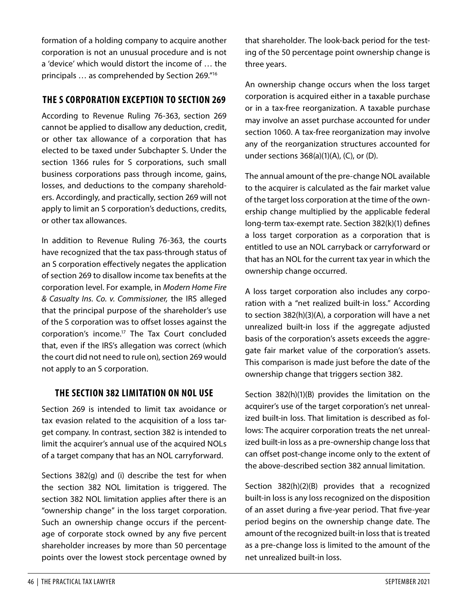formation of a holding company to acquire another corporation is not an unusual procedure and is not a 'device' which would distort the income of … the principals … as comprehended by Section 269."[16](#page-7-15)

#### **THE S CORPORATION EXCEPTION TO SECTION 269**

According to Revenue Ruling 76-363, section 269 cannot be applied to disallow any deduction, credit, or other tax allowance of a corporation that has elected to be taxed under Subchapter S. Under the section 1366 rules for S corporations, such small business corporations pass through income, gains, losses, and deductions to the company shareholders. Accordingly, and practically, section 269 will not apply to limit an S corporation's deductions, credits, or other tax allowances.

In addition to Revenue Ruling 76-363, the courts have recognized that the tax pass-through status of an S corporation effectively negates the application of section 269 to disallow income tax benefits at the corporation level. For example, in *Modern Home Fire & Casualty Ins. Co. v. Commissioner,* the IRS alleged that the principal purpose of the shareholder's use of the S corporation was to offset losses against the corporation's income[.17](#page-7-16) The Tax Court concluded that, even if the IRS's allegation was correct (which the court did not need to rule on), section 269 would not apply to an S corporation.

#### **THE SECTION 382 LIMITATION ON NOL USE**

Section 269 is intended to limit tax avoidance or tax evasion related to the acquisition of a loss target company. In contrast, section 382 is intended to limit the acquirer's annual use of the acquired NOLs of a target company that has an NOL carryforward.

Sections 382(g) and (i) describe the test for when the section 382 NOL limitation is triggered. The section 382 NOL limitation applies after there is an "ownership change" in the loss target corporation. Such an ownership change occurs if the percentage of corporate stock owned by any five percent shareholder increases by more than 50 percentage points over the lowest stock percentage owned by

that shareholder. The look-back period for the testing of the 50 percentage point ownership change is three years.

An ownership change occurs when the loss target corporation is acquired either in a taxable purchase or in a tax-free reorganization. A taxable purchase may involve an asset purchase accounted for under section 1060. A tax-free reorganization may involve any of the reorganization structures accounted for under sections 368(a)(1)(A), (C), or (D).

The annual amount of the pre-change NOL available to the acquirer is calculated as the fair market value of the target loss corporation at the time of the ownership change multiplied by the applicable federal long-term tax-exempt rate. Section 382(k)(1) defines a loss target corporation as a corporation that is entitled to use an NOL carryback or carryforward or that has an NOL for the current tax year in which the ownership change occurred.

A loss target corporation also includes any corporation with a "net realized built-in loss." According to section 382(h)(3)(A), a corporation will have a net unrealized built-in loss if the aggregate adjusted basis of the corporation's assets exceeds the aggregate fair market value of the corporation's assets. This comparison is made just before the date of the ownership change that triggers section 382.

Section 382(h)(1)(B) provides the limitation on the acquirer's use of the target corporation's net unrealized built-in loss. That limitation is described as follows: The acquirer corporation treats the net unrealized built-in loss as a pre-ownership change loss that can offset post-change income only to the extent of the above-described section 382 annual limitation.

Section 382(h)(2)(B) provides that a recognized built-in loss is any loss recognized on the disposition of an asset during a five-year period. That five-year period begins on the ownership change date. The amount of the recognized built-in loss that is treated as a pre-change loss is limited to the amount of the net unrealized built-in loss.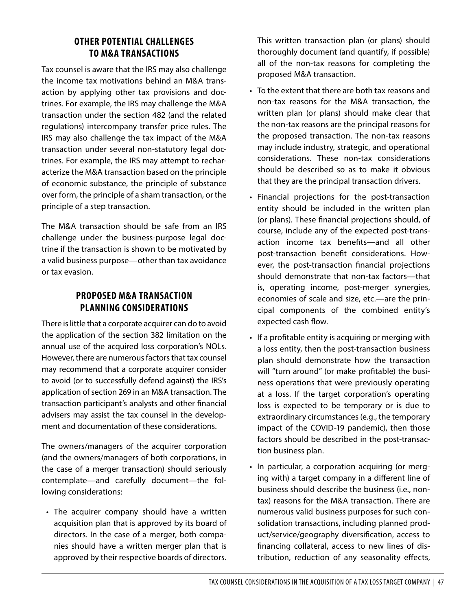#### **OTHER POTENTIAL CHALLENGES TO M&A TRANSACTIONS**

Tax counsel is aware that the IRS may also challenge the income tax motivations behind an M&A transaction by applying other tax provisions and doctrines. For example, the IRS may challenge the M&A transaction under the section 482 (and the related regulations) intercompany transfer price rules. The IRS may also challenge the tax impact of the M&A transaction under several non-statutory legal doctrines. For example, the IRS may attempt to recharacterize the M&A transaction based on the principle of economic substance, the principle of substance over form, the principle of a sham transaction, or the principle of a step transaction.

The M&A transaction should be safe from an IRS challenge under the business-purpose legal doctrine if the transaction is shown to be motivated by a valid business purpose—other than tax avoidance or tax evasion.

## **PROPOSED M&A TRANSACTION PLANNING CONSIDERATIONS**

There is little that a corporate acquirer can do to avoid the application of the section 382 limitation on the annual use of the acquired loss corporation's NOLs. However, there are numerous factors that tax counsel may recommend that a corporate acquirer consider to avoid (or to successfully defend against) the IRS's application of section 269 in an M&A transaction. The transaction participant's analysts and other financial advisers may assist the tax counsel in the development and documentation of these considerations.

The owners/managers of the acquirer corporation (and the owners/managers of both corporations, in the case of a merger transaction) should seriously contemplate—and carefully document—the following considerations:

• The acquirer company should have a written acquisition plan that is approved by its board of directors. In the case of a merger, both companies should have a written merger plan that is approved by their respective boards of directors.

This written transaction plan (or plans) should thoroughly document (and quantify, if possible) all of the non-tax reasons for completing the proposed M&A transaction.

- To the extent that there are both tax reasons and non-tax reasons for the M&A transaction, the written plan (or plans) should make clear that the non-tax reasons are the principal reasons for the proposed transaction. The non-tax reasons may include industry, strategic, and operational considerations. These non-tax considerations should be described so as to make it obvious that they are the principal transaction drivers.
- Financial projections for the post-transaction entity should be included in the written plan (or plans). These financial projections should, of course, include any of the expected post-transaction income tax benefits—and all other post-transaction benefit considerations. However, the post-transaction financial projections should demonstrate that non-tax factors—that is, operating income, post-merger synergies, economies of scale and size, etc.—are the principal components of the combined entity's expected cash flow.
- If a profitable entity is acquiring or merging with a loss entity, then the post-transaction business plan should demonstrate how the transaction will "turn around" (or make profitable) the business operations that were previously operating at a loss. If the target corporation's operating loss is expected to be temporary or is due to extraordinary circumstances (e.g., the temporary impact of the COVID-19 pandemic), then those factors should be described in the post-transaction business plan.
- In particular, a corporation acquiring (or merging with) a target company in a different line of business should describe the business (i.e., nontax) reasons for the M&A transaction. There are numerous valid business purposes for such consolidation transactions, including planned product/service/geography diversification, access to financing collateral, access to new lines of distribution, reduction of any seasonality effects,